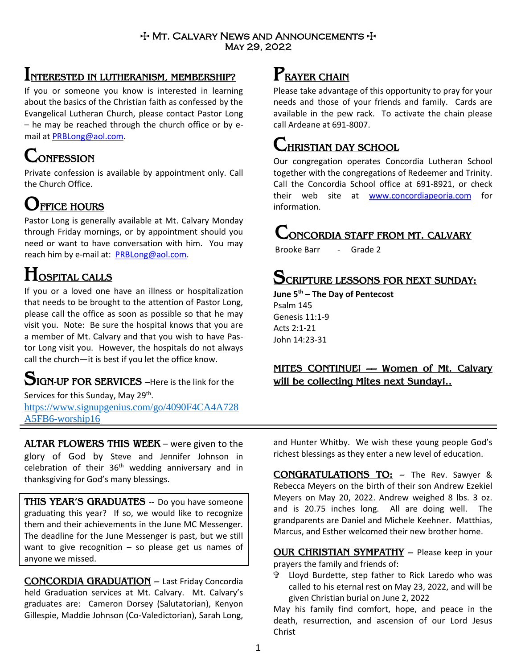#### $+$  Mt. Calvary News and Announcements  $+$ May 29, 2022

### **INTERESTED IN LUTHERANISM, MEMBERSHIP?**

If you or someone you know is interested in learning about the basics of the Christian faith as confessed by the Evangelical Lutheran Church, please contact Pastor Long – he may be reached through the church office or by email at [PRBLong@aol.com.](mailto:PRBLong@aol.com)

# **CONFESSION**

Private confession is available by appointment only. Call the Church Office.

## **OFFICE HOURS**

Pastor Long is generally available at Mt. Calvary Monday through Friday mornings, or by appointment should you need or want to have conversation with him. You may reach him by e-mail at: [PRBLong@aol.com.](mailto:PRBLong@aol.com)

## **HOSPITAL CALLS**

If you or a loved one have an illness or hospitalization that needs to be brought to the attention of Pastor Long, please call the office as soon as possible so that he may visit you. Note: Be sure the hospital knows that you are a member of Mt. Calvary and that you wish to have Pastor Long visit you. However, the hospitals do not always call the church—it is best if you let the office know.

# **SIGN-UP FOR SERVICES** –Here is the link for the

Services for this Sunday, May 29<sup>th</sup>. https://www.signupgenius.com/go/4090F4CA4A728 A5FB6-worship16

**ALTAR FLOWERS THIS WEEK** – were given to the glory of God by Steve and Jennifer Johnson in celebration of their  $36<sup>th</sup>$  wedding anniversary and in thanksgiving for God's many blessings.

**THIS YEAR'S GRADUATES** -- Do you have someone graduating this year? If so, we would like to recognize them and their achievements in the June MC Messenger. The deadline for the June Messenger is past, but we still want to give recognition  $-$  so please get us names of anyone we missed.

**CONCORDIA GRADUATION** – Last Friday Concordia held Graduation services at Mt. Calvary. Mt. Calvary's graduates are: Cameron Dorsey (Salutatorian), Kenyon Gillespie, Maddie Johnson (Co-Valedictorian), Sarah Long,

### **PRAYER CHAIN**

Please take advantage of this opportunity to pray for your needs and those of your friends and family. Cards are available in the pew rack. To activate the chain please call Ardeane at 691-8007.

### **CHRISTIAN DAY SCHOOL**

Our congregation operates Concordia Lutheran School together with the congregations of Redeemer and Trinity. Call the Concordia School office at 691-8921, or check their web site at [www.concordiapeoria.com](http://www.concordiapeoria.com/) for information.

### **CONCORDIA STAFF FROM MT. CALVARY**

Brooke Barr - Grade 2

### **SCRIPTURE LESSONS FOR NEXT SUNDAY:**

**June 5th – The Day of Pentecost**

Psalm 145 Genesis 11:1-9 Acts 2:1-21 John 14:23-31

### **MITES CONTINUE! –– Women of Mt. Calvary will be collecting Mites next Sunday!..**

and Hunter Whitby. We wish these young people God's richest blessings as they enter a new level of education.

**CONGRATULATIONS TO:** -- The Rev. Sawyer & Rebecca Meyers on the birth of their son Andrew Ezekiel Meyers on May 20, 2022. Andrew weighed 8 lbs. 3 oz. and is 20.75 inches long. All are doing well. The grandparents are Daniel and Michele Keehner. Matthias, Marcus, and Esther welcomed their new brother home.

**OUR CHRISTIAN SYMPATHY** – Please keep in your prayers the family and friends of:

 Lloyd Burdette, step father to Rick Laredo who was called to his eternal rest on May 23, 2022, and will be given Christian burial on June 2, 2022

May his family find comfort, hope, and peace in the death, resurrection, and ascension of our Lord Jesus Christ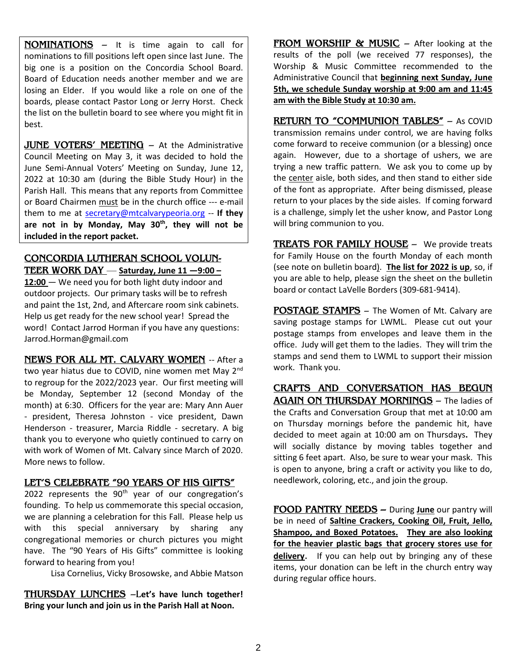**NOMINATIONS** – It is time again to call for nominations to fill positions left open since last June. The big one is a position on the Concordia School Board. Board of Education needs another member and we are losing an Elder. If you would like a role on one of the boards, please contact Pastor Long or Jerry Horst. Check the list on the bulletin board to see where you might fit in best.

**JUNE VOTERS' MEETING** - At the Administrative Council Meeting on May 3, it was decided to hold the June Semi-Annual Voters' Meeting on Sunday, June 12, 2022 at 10:30 am (during the Bible Study Hour) in the Parish Hall. This means that any reports from Committee or Board Chairmen must be in the church office --- e-mail them to me at [secretary@mtcalvarypeoria.org](mailto:secretary@mtcalvarypeoria.org) -- **If they are not in by Monday, May 30th, they will not be included in the report packet.** 

**CONCORDIA LUTHERAN SCHOOL VOLUN-TEER WORK DAY** — **Saturday, June 11 —9:00 –** 12:00 – We need you for both light duty indoor and outdoor projects. Our primary tasks will be to refresh and paint the 1st, 2nd, and Aftercare room sink cabinets. Help us get ready for the new school year! Spread the word! Contact Jarrod Horman if you have any questions: Jarrod.Horman@gmail.com

**NEWS FOR ALL MT. CALVARY WOMEN** -- After a two year hiatus due to COVID, nine women met May 2<sup>nd</sup> to regroup for the 2022/2023 year. Our first meeting will be Monday, September 12 (second Monday of the month) at 6:30. Officers for the year are: Mary Ann Auer - president, Theresa Johnston - vice president, Dawn Henderson - treasurer, Marcia Riddle - secretary. A big thank you to everyone who quietly continued to carry on with work of Women of Mt. Calvary since March of 2020. More news to follow.

#### **LET'S CELEBRATE "90 YEARS OF HIS GIFTS"**

2022 represents the 90<sup>th</sup> year of our congregation's founding. To help us commemorate this special occasion, we are planning a celebration for this Fall. Please help us with this special anniversary by sharing any congregational memories or church pictures you might have. The "90 Years of His Gifts" committee is looking forward to hearing from you!

Lisa Cornelius, Vicky Brosowske, and Abbie Matson

**THURSDAY LUNCHES** –L**et's have lunch together! Bring your lunch and join us in the Parish Hall at Noon.** 

**FROM WORSHIP & MUSIC** – After looking at the results of the poll (we received 77 responses), the Worship & Music Committee recommended to the Administrative Council that **beginning next Sunday, June 5th, we schedule Sunday worship at 9:00 am and 11:45 am with the Bible Study at 10:30 am.**

**RETURN TO "COMMUNION TABLES"** – As COVID transmission remains under control, we are having folks come forward to receive communion (or a blessing) once again. However, due to a shortage of ushers, we are trying a new traffic pattern. We ask you to come up by the center aisle, both sides, and then stand to either side of the font as appropriate. After being dismissed, please return to your places by the side aisles. If coming forward is a challenge, simply let the usher know, and Pastor Long will bring communion to you.

**TREATS FOR FAMILY HOUSE** – We provide treats for Family House on the fourth Monday of each month (see note on bulletin board). **The list for 2022 is up**, so, if you are able to help, please sign the sheet on the bulletin board or contact LaVelle Borders (309-681-9414).

**POSTAGE STAMPS** – The Women of Mt. Calvary are saving postage stamps for LWML. Please cut out your postage stamps from envelopes and leave them in the office. Judy will get them to the ladies. They will trim the stamps and send them to LWML to support their mission work. Thank you.

**CRAFTS AND CONVERSATION HAS BEGUN AGAIN ON THURSDAY MORNINGS** – The ladies of the Crafts and Conversation Group that met at 10:00 am on Thursday mornings before the pandemic hit, have decided to meet again at 10:00 am on Thursdays**.** They will socially distance by moving tables together and sitting 6 feet apart. Also, be sure to wear your mask. This is open to anyone, bring a craft or activity you like to do, needlework, coloring, etc., and join the group.

**FOOD PANTRY NEEDS –** During **June** our pantry will be in need of **Saltine Crackers, Cooking Oil, Fruit, Jello, Shampoo, and Boxed Potatoes. They are also looking for the heavier plastic bags that grocery stores use for delivery**. If you can help out by bringing any of these items, your donation can be left in the church entry way during regular office hours.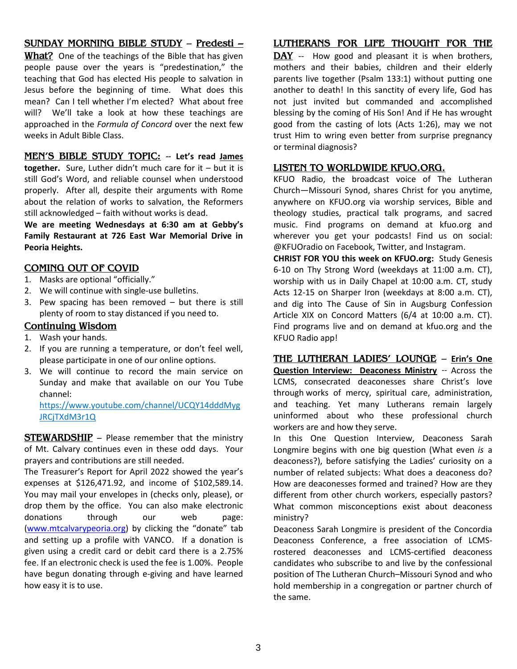#### **SUNDAY MORNING BIBLE STUDY** – **Predesti –**

**What?** One of the teachings of the Bible that has given people pause over the years is "predestination," the teaching that God has elected His people to salvation in Jesus before the beginning of time. What does this mean? Can I tell whether I'm elected? What about free will? We'll take a look at how these teachings are approached in the *Formula of Concord* over the next few weeks in Adult Bible Class.

**MEN'S BIBLE STUDY TOPIC:** -- **Let's read James together.** Sure, Luther didn't much care for it – but it is still God's Word, and reliable counsel when understood properly. After all, despite their arguments with Rome about the relation of works to salvation, the Reformers still acknowledged – faith without works is dead.

**We are meeting Wednesdays at 6:30 am at Gebby's Family Restaurant at 726 East War Memorial Drive in Peoria Heights.** 

#### **COMING OUT OF COVID**

- 1. Masks are optional "officially."
- 2. We will continue with single-use bulletins.
- 3. Pew spacing has been removed but there is still plenty of room to stay distanced if you need to.

#### **Continuing Wisdom**

- 1. Wash your hands.
- 2. If you are running a temperature, or don't feel well, please participate in one of our online options.
- 3. We will continue to record the main service on Sunday and make that available on our You Tube channel:

[https://www.youtube.com/channel/UCQY14dddMyg](https://www.youtube.com/channel/UCQY14dddMygJRCjTXdM3r1Q) [JRCjTXdM3r1Q](https://www.youtube.com/channel/UCQY14dddMygJRCjTXdM3r1Q)

**STEWARDSHIP** – Please remember that the ministry of Mt. Calvary continues even in these odd days. Your prayers and contributions are still needed.

The Treasurer's Report for April 2022 showed the year's expenses at \$126,471.92, and income of \$102,589.14. You may mail your envelopes in (checks only, please), or drop them by the office. You can also make electronic donations through our web page: [\(www.mtcalvarypeoria.org](http://www.mtcalvarypeoria.org/)) by clicking the "donate" tab and setting up a profile with VANCO. If a donation is given using a credit card or debit card there is a 2.75% fee. If an electronic check is used the fee is 1.00%. People have begun donating through e-giving and have learned how easy it is to use.

#### **LUTHERANS FOR LIFE THOUGHT FOR THE**

DAY -- How good and pleasant it is when brothers, mothers and their babies, children and their elderly parents live together (Psalm 133:1) without putting one another to death! In this sanctity of every life, God has not just invited but commanded and accomplished blessing by the coming of His Son! And if He has wrought good from the casting of lots (Acts 1:26), may we not trust Him to wring even better from surprise pregnancy or terminal diagnosis?

#### **LISTEN TO WORLDWIDE KFUO.ORG.**

KFUO Radio, the broadcast voice of The Lutheran Church—Missouri Synod, shares Christ for you anytime, anywhere on KFUO.org via worship services, Bible and theology studies, practical talk programs, and sacred music. Find programs on demand at [kfuo.org](https://kfuo.us19.list-manage.com/track/click?u=54af661ed49340a315983cb13&id=23f436d69c&e=9f5cc2cb8c) and wherever you get your podcasts! Find us **on** social: @KFUOradio on [Facebook,](https://kfuo.us19.list-manage.com/track/click?u=54af661ed49340a315983cb13&id=a1af9c142f&e=9f5cc2cb8c) [Twitter,](https://kfuo.us19.list-manage.com/track/click?u=54af661ed49340a315983cb13&id=da6b9900e0&e=9f5cc2cb8c) and [Instagram.](https://kfuo.us19.list-manage.com/track/click?u=54af661ed49340a315983cb13&id=baa10b7b13&e=9f5cc2cb8c)

**CHRIST FOR YOU this week on KFUO.org:** Study Genesis 6-10 on Thy Strong Word (weekdays at 11:00 a.m. CT), worship with us in Daily Chapel at 10:00 a.m. CT, study Acts 12-15 on Sharper Iron (weekdays at 8:00 a.m. CT), and dig into The Cause of Sin in Augsburg Confession Article XIX on Concord Matters (6/4 at 10:00 a.m. CT). Find programs live and on demand at kfuo.org and the KFUO Radio app!

**[THE LUTHERAN LADIES' LOUNGE](https://www.kfuo.org/2022/04/08/lutheran-ladies-lounge-episode-132-wild-card-easter-egg-traditions-around-the-globe/)** – **Erin's One Question Interview: Deaconess Ministry -- Across the** LCMS, consecrated deaconesses share Christ's love through works of mercy, spiritual care, administration, and teaching. Yet many Lutherans remain largely uninformed about who these professional church workers are and how they serve.

In this One Question Interview, Deaconess Sarah Longmire begins with one big question (What even *is* a deaconess?), before satisfying the Ladies' curiosity on a number of related subjects: What does a deaconess do? How are deaconesses formed and trained? How are they different from other church workers, especially pastors? What common misconceptions exist about deaconess ministry?

Deaconess Sarah Longmire is president of the Concordia Deaconess Conference, a free association of LCMSrostered deaconesses and LCMS-certified deaconess candidates who subscribe to and live by the confessional position of The Lutheran Church–Missouri Synod and who hold membership in a congregation or partner church of the same.